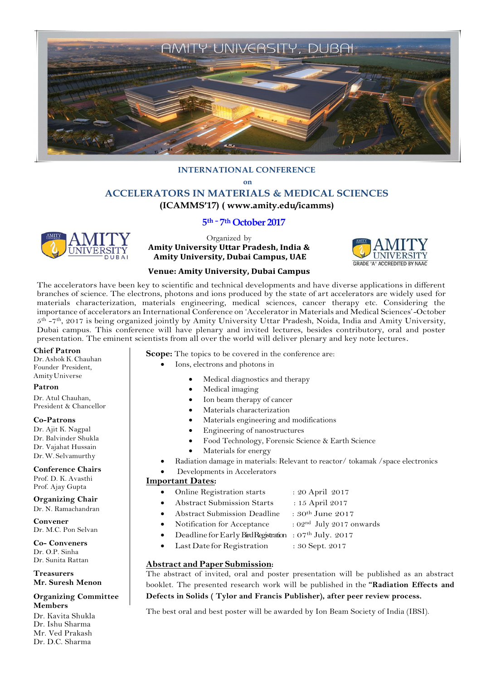

# **INTERNATIONAL CONFERENCE on ACCELERATORS IN MATERIALS & MEDICAL SCIENCES (ICAMMS'17) ( www.amity.edu/icamms)**

# **5 th – 7th October 2017**



Organized by **Amity University Uttar Pradesh, India & Amity University, Dubai Campus, UAE** 



### **Venue: Amity University, Dubai Campus**

The accelerators have been key to scientific and technical developments and have diverse applications in different branches of science. The electrons, photons and ions produced by the state of art accelerators are widely used for materials characterization, materials engineering, medical sciences, cancer therapy etc. Considering the importance of accelerators an International Conference on 'Accelerator in Materials and Medical Sciences'-October 5 th -7 th, 2017 is being organized jointly by Amity University Uttar Pradesh, Noida, India and Amity University, Dubai campus. This conference will have plenary and invited lectures, besides contributory, oral and poster presentation. The eminent scientists from all over the world will deliver plenary and key note lectures.

#### **Chief Patron**

Dr.Ashok K.Chauhan Founder President, AmityUniverse

#### **Patron**

Dr. Atul Chauhan, President & Chancellor

#### **Co-Patrons**

Dr. Ajit K. Nagpal Dr. Balvinder Shukla Dr. Vajahat Hussain Dr.W. Selvamurthy

#### **Conference Chairs**

Prof. D. K. Avasthi Prof. Ajay Gupta

#### **Organizing Chair** Dr. N. Ramachandran

**Convener** Dr. M.C. Pon Selvan

**Co- Conveners** Dr. O.P. Sinha Dr. Sunita Rattan

**Treasurers Mr. Suresh Menon**

#### **Organizing Committee Members**

Dr. Kavita Shukla Dr. Ishu Sharma Mr. Ved Prakash Dr. D.C. Sharma

## **Scope:** The topics to be covered in the conference are:

- Ions, electrons and photons in
	- Medical diagnostics and therapy
	- Medical imaging
	- Ion beam therapy of cancer
	- Materials characterization
	- Materials engineering and modifications
	- Engineering of nanostructures
	- Food Technology, Forensic Science & Earth Science
	- Materials for energy
	- Radiation damage in materials: Relevant to reactor/ tokamak /space electronics
		- Developments in Accelerators

### **Important Dates:**

- Online Registration starts : 20 April 2017
- Abstract Submission Starts : 15 April 2017
- Abstract Submission Deadline : 30<sup>th</sup> June 2017
- Notification for Acceptance :  $02<sup>nd</sup>$  July 2017 onwards
- Deadline for Early Bird Registration : 07<sup>th</sup> July. 2017
- Last Date for Registration : 30 Sept. 2017

# **Abstract and Paper Submission:**

The abstract of invited, oral and poster presentation will be published as an abstract booklet. The presented research work will be published in the **"Radiation Effects and Defects in Solids ( Tylor and Francis Publisher), after peer review process.**

The best oral and best poster will be awarded by Ion Beam Society of India (IBSI).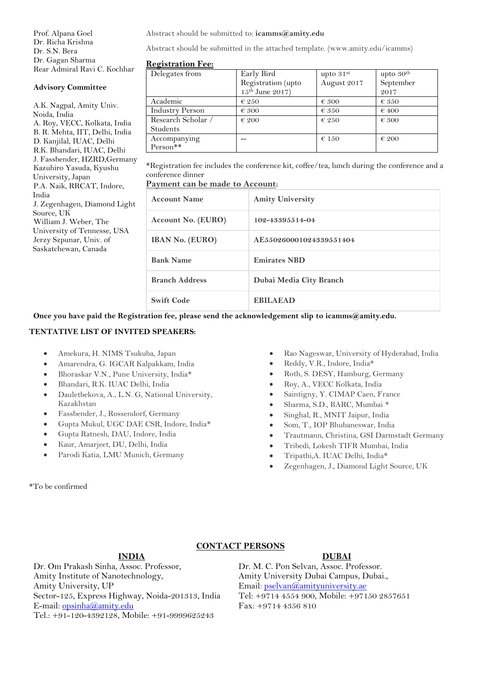Prof. Alpana Goel Dr. Richa Krishna Dr. S.N. Bera Dr. Gagan Sharma Rear Admiral Ravi C. Kochhar

## **Advisory Committee**

A.K. Nagpal, Amity Univ. Noida, India A. Roy, VECC, Kolkata, India B. R. Mehta, IIT, Delhi, India D. Kanjilal, IUAC, Delhi R.K. Bhandari, IUAC, Delhi J. Fassbender, HZRD,Germany Kazuhiro Yasuda, Kyushu University, Japan P.A. Naik, RRCAT, Indore, India J. Zegenhagen, Diamond Light Source, UK William J. Weber, The University of Tennesse, USA Jerzy Szpunar, Univ. of Saskatchewan, Canada

Abstract should be submitted to: **icamms@amity.edu**

Abstract should be submitted in the attached template. (www.amity.edu/icamms)

### **Registration Fee:**

| -<br>Delegates from    | Early Bird           | upto $31st$    | upto $30th$    |
|------------------------|----------------------|----------------|----------------|
|                        | Registration (upto   | August 2017    | September      |
|                        | $15^{th}$ June 2017) |                | 2017           |
| Academic               | $\epsilon$ 250       | $\epsilon$ 300 | $\epsilon$ 350 |
| <b>Industry Person</b> | $\epsilon$ 300       | $\epsilon$ 350 | $\epsilon$ 400 |
| Research Scholar /     | $\epsilon$ 200       | $\epsilon$ 250 | $\epsilon$ 300 |
| <b>Students</b>        |                      |                |                |
| Accompanying           |                      | $\epsilon$ 150 | $\epsilon$ 200 |
| $Person**$             |                      |                |                |

\*Registration fee includes the conference kit, coffee/tea, lunch during the conference and a conference dinner

# **Payment can be made to Account:**

| <b>Account Name</b>    | <b>Amity University</b> |
|------------------------|-------------------------|
| Account No. (EURO)     | 102-43395514-04         |
| <b>IBAN No. (EURO)</b> | AE550260001024339551404 |
| <b>Bank Name</b>       | <b>Emirates NBD</b>     |
| <b>Branch Address</b>  | Dubai Media City Branch |
| <b>Swift Code</b>      | <b>EBILAEAD</b>         |

**Once you have paid the Registration fee, please send the acknowledgement slip to icamms@amity.edu.**

### **TENTATIVE LIST OF INVITED SPEAKERS:**

- Amekura, H. NIMS Tsukuba, Japan
- Amarendra, G. IGCAR Kalpakkam, India
- Bhoraskar V.N., Pune University, India\*
- Bhandari, R.K. IUAC Delhi, India
- Dauletbekova, A., L.N. G, National University, Kazakhstan
- Fassbender, J., Rossendorf, Germany
- Gupta Mukul, UGC DAE CSR, Indore, India\*
- Gupta Ratnesh, DAU, Indore, India
- Kaur, Amarjeet, DU, Delhi, India
- Parodi Katia, LMU Munich, Germany
- Rao Nageswar, University of Hyderabad, India
- Reddy, V.R., Indore, India\*
- Roth, S. DESY, Hamburg, Germany
- Roy, A., VECC Kolkata, India
- Saintigny, Y. CIMAP Caen, France
- Sharma, S.D., BARC, Mumbai \*
- Singhal, R., MNIT Jaipur, India
- Som, T., IOP Bhubaneswar, India
- Trautmann, Christina, GSI Darmstadt Germany
- Tribedi, Lokesh TIFR Mumbai, India
- Tripathi,A. IUAC Delhi, India\*
- Zegenhagen, J., Diamond Light Source, UK

\*To be confirmed

# **CONTACT PERSONS**

# **INDIA DUBAI**

Dr. Om Prakash Sinha, Assoc. Professor, Amity Institute of Nanotechnology, Amity University, UP Sector-125, Express Highway, Noida-201313, India E-mail: [opsinha@amity.edu](mailto:opsinha@amity.edu) Tel.: +91-120-4392128, Mobile: +91-9999625243

Dr. M. C. Pon Selvan, Assoc. Professor. Amity University Dubai Campus, Dubai., Email: [pselvan@amityuniversity.ae](mailto:pselvan@amityuniversity.ae) Tel: +9714 4554 900, Mobile: +97150 2857651 Fax: +9714 4356 810